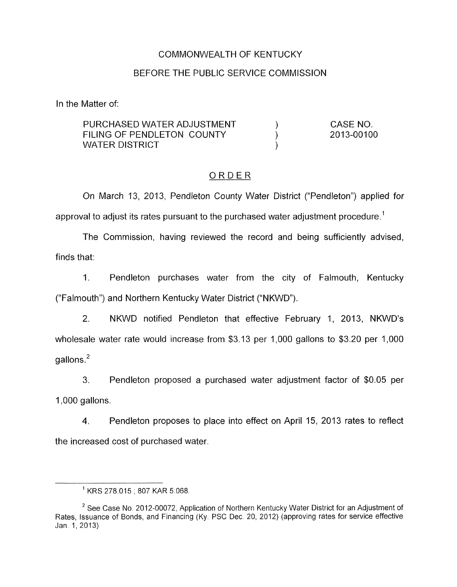### COMMONWEALTH OF KENTUCKY

### BEFORE THE PUBLIC SERVICE COMMISSION

In the Matter of:

| PURCHASED WATER ADJUSTMENT | -CASE NO.  |
|----------------------------|------------|
| FILING OF PENDLETON COUNTY | 2013-00100 |
| WATER DISTRICT             |            |

## ORDER

On March 13, 2013, Pendleton County Water District ("Pendleton") applied for approval to adjust its rates pursuant to the purchased water adjustment procedure.'

The Commission, having reviewed the record and being sufficiently advised, finds that:

1. Pendleton purchases water from the city of Falmouth, Kentucky ("Falmouth") and Northern Kentucky Water District ("NKWD").

2. NKWD notified Pendleton that effective February 1, 2013, NKWD's wholesale water rate would increase from \$3.13 per 1,000 gallons to \$3.20 per 1,000  $a$ allons. $<sup>2</sup>$ </sup>

3. 1,000 gallons. Pendleton proposed a purchased water adjustment factor of \$0.05 per

**4.** Pendleton proposes to place into effect on April 15, 2013 rates to reflect the increased cost of purchased water

<sup>&#</sup>x27; KRS 278.015 ; 807 KAR 5.068

 $2$  See Case No. 2012-00072, Application of Northern Kentucky Water District for an Adjustment of Rates, Issuance of Bonds, and Financing (Ky, PSC Dec. 20, 2012) (approving rates for service effective Jan. 1, 2013).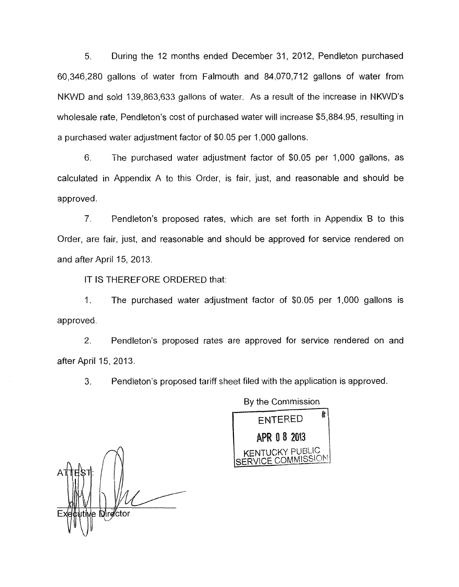*5.* During the 12 months ended December 31 , 2012, Pendleton purchased 60,346,280 gallons of water from Falmouth and 84,070,712 gallons of water from NKWD and sold 139,863,633 gallons of water. As a result of the increase in NKWD's wholesale rate, Pendleton's cost of purchased water will increase \$5,884.95, resulting in a purchased water adjustment factor of \$0.05 per 1,000 gallons.

*6.* The purchased water adjustment factor of \$0.05 per 1,000 gallons, as calculated in Appendix A to this Order, is fair, just, and reasonable and should be approved.

7. Pendleton's proposed rates, which are set forth in Appendix B to this Order, are fair, just, and reasonable and should be approved for service rendered on and after April 15, 2013.

IT IS THEREFORE ORDERED that:

1. The purchased water adjustment factor of \$0.05 per 1,000 gallons is approved.

2. Pendleton's proposed rates are approved for service rendered on and after April 15, 2013.

**3.** Pendleton's proposed tariff sheet filed with the application is approved.

By the Commission **ENTERED** APR 0 8 2013 ENTUCKY PURLIC NI SERVICE COMMISSION

e Director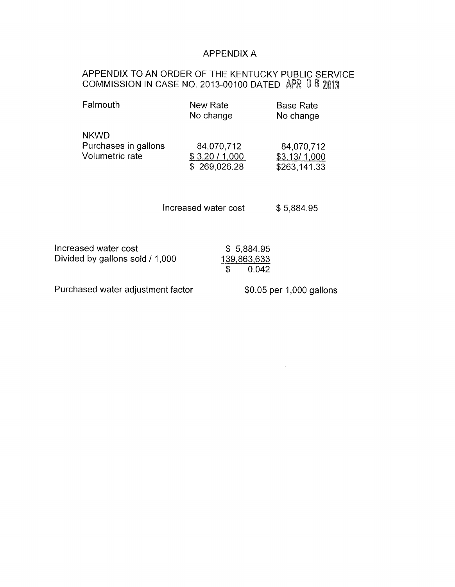## APPENDIX A

### APPENDIX TO AN ORDER OF THE KENTUCKY PUBLIC SERVICE COMMISSION IN CASE NO. 2013-00100 DATED

| Falmouth             | New Rate<br>No change | <b>Base Rate</b><br>No change |
|----------------------|-----------------------|-------------------------------|
| <b>NKWD</b>          | 84,070,712            | 84,070,712                    |
| Purchases in gallons | \$3.20 / 1,000        | \$3.13/1,000                  |
| Volumetric rate      | \$269,026.28          | \$263,141.33                  |

Increased water cost \$5,884.95

| Increased water cost              | \$5,884.95               |  |
|-----------------------------------|--------------------------|--|
| Divided by gallons sold / 1,000   | 139,863,633              |  |
|                                   | 0.042                    |  |
| Purchased water adjustment factor | \$0.05 per 1,000 gallons |  |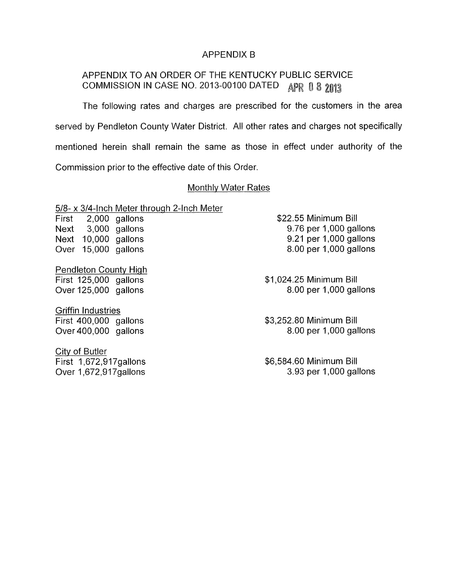#### APPENDIX B

# APPENDIX TO AN ORDER OF THE KENTUCKY PUBLIC SERVICE COMMISSION IN CASE NO. 2013-00100 DATED APR 0 8 2013

The following rates and charges are prescribed for the customers in the area served by Pendleton County Water District. All other rates and charges not specifically mentioned herein shall remain the same as those in effect under authority of the Commission prior to the effective date of this Order.

#### Monthlv Water Rates

*5/8-* x 3/4-lnch Meter through 2-Inch Meter

First 2,000 gallons \$22.55 Minimum Bill Next 3,000 gallons Next 10,000 gallons Over 15,000 gallons

Pendleton Countv High First 125,000 gallons Over 125,000 gallons

**Griffin Industries** First 400,000 gallons Over 400,000 gallons

Citv of Butler First 1,672,917gallons 9.76 per 1,000 gallons 9.21 per 1,000 gallons 8.00 per 1,000 gallons

\$1,024.25 Minimum Bill 8.00 per 1,000 gallons

\$3,252.80 Minimum Bill 8.00 per 1,000 gallons

Over 1,672,917 gallons 3.93 per 1,000 gallons \$6,584.60 Minimum Bill